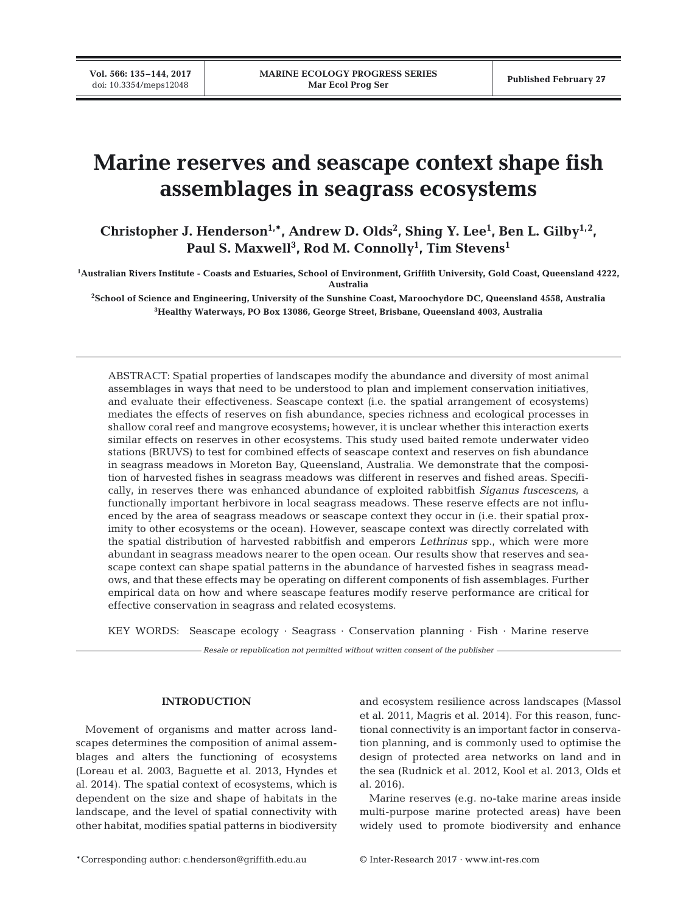# **Marine reserves and seascape context shape fish assemblages in seagrass ecosystems**

Christopher J. Henderson<sup>1,\*</sup>, Andrew D. Olds<sup>2</sup>, Shing Y. Lee<sup>1</sup>, Ben L. Gilby<sup>1,2</sup>, **Paul S. Maxwell3 , Rod M. Connolly1 , Tim Stevens1**

**1 Australian Rivers Institute - Coasts and Estuaries, School of Environment, Griffith University, Gold Coast, Queensland 4222, Australia** 

**2 School of Science and Engineering, University of the Sunshine Coast, Maroochydore DC, Queensland 4558, Australia 3 Healthy Waterways, PO Box 13086, George Street, Brisbane, Queensland 4003, Australia**

ABSTRACT: Spatial properties of landscapes modify the abundance and diversity of most animal assemblages in ways that need to be understood to plan and implement conservation initiatives, and evaluate their effectiveness. Seascape context (i.e. the spatial arrangement of ecosystems) mediates the effects of reserves on fish abundance, species richness and ecological processes in shallow coral reef and mangrove ecosystems; however, it is unclear whether this interaction exerts similar effects on reserves in other ecosystems. This study used baited remote underwater video stations (BRUVS) to test for combined effects of seascape context and reserves on fish abundance in seagrass meadows in Moreton Bay, Queensland, Australia. We demonstrate that the composition of harvested fishes in seagrass meadows was different in reserves and fished areas. Specifically, in reserves there was enhanced abundance of exploited rabbitfish *Siganus fuscescens*, a functionally important herbivore in local seagrass meadows. These reserve effects are not influenced by the area of seagrass meadows or seascape context they occur in (i.e. their spatial proximity to other ecosystems or the ocean). However, seascape context was directly correlated with the spatial distribution of harvested rabbitfish and emperors *Lethrinus* spp., which were more abundant in seagrass meadows nearer to the open ocean. Our results show that reserves and seascape context can shape spatial patterns in the abundance of harvested fishes in seagrass meadows, and that these effects may be operating on different components of fish assemblages. Further empirical data on how and where seascape features modify reserve performance are critical for effective conservation in seagrass and related ecosystems.

KEY WORDS: Seascape ecology · Seagrass · Conservation planning · Fish · Marine reserve

*Resale or republication not permitted without written consent of the publisher*

## **INTRODUCTION**

Movement of organisms and matter across landscapes determines the composition of animal assemblages and alters the functioning of ecosystems (Loreau et al. 2003, Baguette et al. 2013, Hyndes et al. 2014). The spatial context of ecosystems, which is dependent on the size and shape of habitats in the landscape, and the level of spatial connectivity with other habitat, modifies spatial patterns in biodiversity and ecosystem resilience across landscapes (Massol et al. 2011, Magris et al. 2014). For this reason, functional connectivity is an important factor in conservation planning, and is commonly used to optimise the design of protected area networks on land and in the sea (Rudnick et al. 2012, Kool et al. 2013, Olds et al. 2016).

Marine reserves (e.g. no-take marine areas inside multi-purpose marine protected areas) have been widely used to promote biodiversity and enhance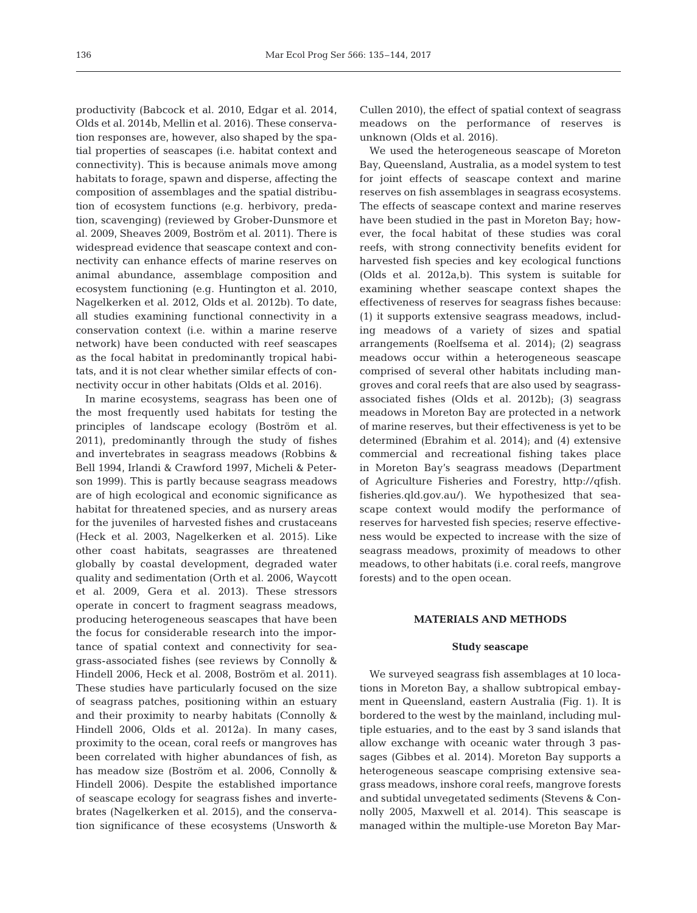productivity (Babcock et al. 2010, Edgar et al. 2014, Olds et al. 2014b, Mellin et al. 2016). These conservation responses are, however, also shaped by the spatial properties of seascapes (i.e. habitat context and connectivity). This is because animals move among habitats to forage, spawn and disperse, affecting the composition of assemblages and the spatial distribution of ecosystem functions (e.g. herbivory, predation, scavenging) (reviewed by Grober-Dunsmore et al. 2009, Sheaves 2009, Boström et al. 2011). There is widespread evidence that seascape context and connectivity can enhance effects of marine reserves on animal abundance, assemblage composition and ecosystem functioning (e.g. Huntington et al. 2010, Nagelkerken et al. 2012, Olds et al. 2012b). To date, all studies examining functional connectivity in a conservation context (i.e. within a marine reserve network) have been conducted with reef seascapes as the focal habitat in predominantly tropical habitats, and it is not clear whether similar effects of connectivity occur in other habitats (Olds et al. 2016).

In marine ecosystems, seagrass has been one of the most frequently used habitats for testing the principles of landscape ecology (Boström et al. 2011), predominantly through the study of fishes and invertebrates in seagrass meadows (Robbins & Bell 1994, Irlandi & Crawford 1997, Micheli & Peterson 1999). This is partly because seagrass meadows are of high ecological and economic significance as habitat for threatened species, and as nursery areas for the juveniles of harvested fishes and crustaceans (Heck et al. 2003, Nagelkerken et al. 2015). Like other coast habitats, seagrasses are threatened globally by coastal development, degraded water quality and sedimentation (Orth et al. 2006, Waycott et al. 2009, Gera et al. 2013). These stressors operate in concert to fragment seagrass meadows, producing heterogeneous seascapes that have been the focus for considerable research into the importance of spatial context and connectivity for seagrass-associated fishes (see reviews by Connolly & Hindell 2006, Heck et al. 2008, Boström et al. 2011). These studies have particularly focused on the size of seagrass patches, positioning within an estuary and their proximity to nearby habitats (Connolly & Hindell 2006, Olds et al. 2012a). In many cases, proximity to the ocean, coral reefs or mangroves has been correlated with higher abundances of fish, as has meadow size (Boström et al. 2006, Connolly & Hindell 2006). Despite the established importance of seascape ecology for seagrass fishes and invertebrates (Nagelkerken et al. 2015), and the conservation significance of these ecosystems (Unsworth & Cullen 2010), the effect of spatial context of seagrass meadows on the performance of reserves is unknown (Olds et al. 2016).

We used the heterogeneous seascape of Moreton Bay, Queensland, Australia, as a model system to test for joint effects of seascape context and marine reserves on fish assemblages in seagrass ecosystems. The effects of seascape context and marine reserves have been studied in the past in Moreton Bay; however, the focal habitat of these studies was coral reefs, with strong connectivity benefits evident for harvested fish species and key ecological functions (Olds et al. 2012a,b). This system is suitable for examining whether seascape context shapes the effectiveness of reserves for seagrass fishes because: (1) it supports extensive seagrass meadows, including meadows of a variety of sizes and spatial arrangements (Roelfsema et al. 2014); (2) seagrass meadows occur within a heterogeneous seascape comprised of several other habitats including mangroves and coral reefs that are also used by seagrassassociated fishes (Olds et al. 2012b); (3) seagrass meadows in Moreton Bay are protected in a network of marine reserves, but their effectiveness is yet to be determined (Ebrahim et al. 2014); and (4) extensive commercial and recreational fishing takes place in Moreton Bay's seagrass meadows (Department of Agriculture Fisheries and Forestry, http://qfish. fisheries. qld. gov. au/). We hypothesized that seascape context would modify the performance of reserves for harvested fish species; reserve effectiveness would be expected to increase with the size of seagrass meadows, proximity of meadows to other meadows, to other habitats (i.e. coral reefs, mangrove forests) and to the open ocean.

## **MATERIALS AND METHODS**

### **Study seascape**

We surveyed seagrass fish assemblages at 10 locations in Moreton Bay, a shallow subtropical embayment in Queensland, eastern Australia (Fig. 1). It is bordered to the west by the mainland, including multiple estuaries, and to the east by 3 sand islands that allow exchange with oceanic water through 3 passages (Gibbes et al. 2014). Moreton Bay supports a heterogeneous seascape comprising extensive seagrass meadows, inshore coral reefs, mangrove forests and subtidal unvegetated sediments (Stevens & Connolly 2005, Maxwell et al. 2014). This seascape is managed within the multiple-use Moreton Bay Mar-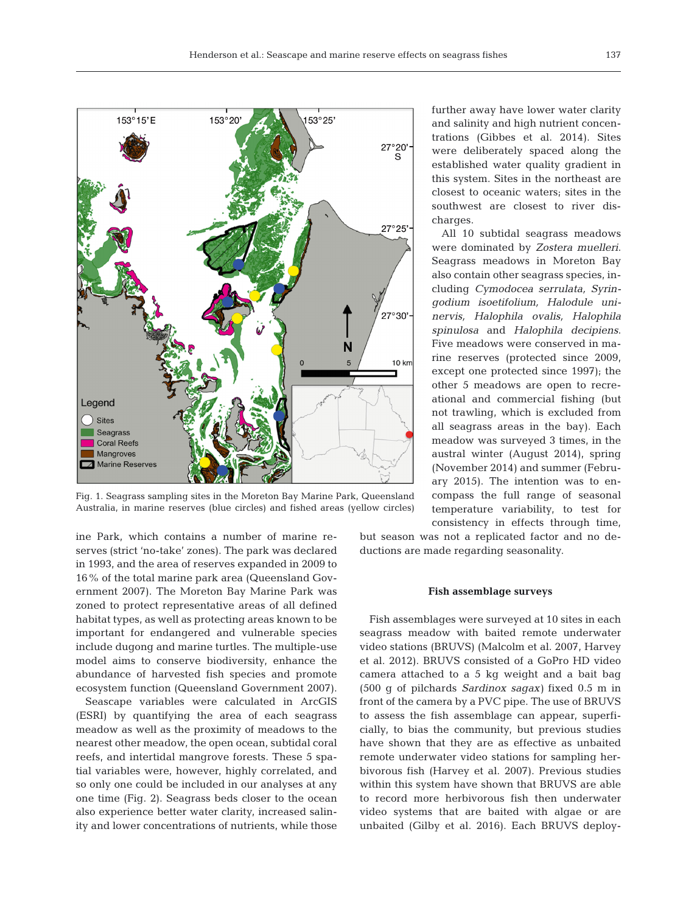

Fig. 1. Seagrass sampling sites in the Moreton Bay Marine Park, Queensland Australia, in marine reserves (blue circles) and fished areas (yellow circles)

and salinity and high nutrient concentrations (Gibbes et al. 2014). Sites were deliberately spaced along the established water quality gradient in this system. Sites in the northeast are closest to oceanic waters; sites in the southwest are closest to river discharges.

further away have lower water clarity

All 10 subtidal seagrass meadows were dominated by *Zostera muelleri*. Seagrass meadows in Moreton Bay also contain other seagrass species, in cluding *Cymodocea serrulata*, *Syringodium isoetifolium, Halo dule uni nervis, Halophila ovalis, Halophila spinulosa* and *Halophila decipiens*. Five meadows were conserved in marine reserves (protected since 2009, except one protected since 1997); the other 5 meadows are open to recreational and commercial fishing (but not trawling, which is excluded from all seagrass areas in the bay). Each meadow was surveyed 3 times, in the austral winter (August 2014), spring (November 2014) and summer (February 2015). The intention was to encompass the full range of seasonal temperature variability, to test for consistency in effects through time,

ine Park, which contains a number of marine reserves (strict 'no-take' zones). The park was declared in 1993, and the area of reserves expanded in 2009 to 16% of the total marine park area (Queensland Government 2007). The Moreton Bay Marine Park was zoned to protect representative areas of all defined habitat types, as well as protecting areas known to be important for endangered and vulnerable species include dugong and marine turtles. The multiple-use model aims to conserve biodiversity, enhance the abundance of harvested fish species and promote ecosystem function (Queensland Government 2007).

Seascape variables were calculated in ArcGIS (ESRI) by quantifying the area of each seagrass meadow as well as the proximity of meadows to the nearest other meadow, the open ocean, subtidal coral reefs, and intertidal mangrove forests. These 5 spatial variables were, however, highly correlated, and so only one could be included in our analyses at any one time (Fig. 2). Seagrass beds closer to the ocean also experience better water clarity, increased salinity and lower concentrations of nutrients, while those

but season was not a replicated factor and no deductions are made regarding seasonality.

#### **Fish assemblage surveys**

Fish assemblages were surveyed at 10 sites in each seagrass meadow with baited remote underwater video stations (BRUVS) (Malcolm et al. 2007, Harvey et al. 2012). BRUVS consisted of a GoPro HD video camera attached to a 5 kg weight and a bait bag (500 g of pilchards *Sardinox sagax)* fixed 0.5 m in front of the camera by a PVC pipe. The use of BRUVS to assess the fish assemblage can appear, superficially, to bias the community, but previous studies have shown that they are as effective as unbaited remote underwater video stations for sampling herbivorous fish (Harvey et al. 2007). Previous studies within this system have shown that BRUVS are able to record more herbivorous fish then underwater video systems that are baited with algae or are unbaited (Gilby et al. 2016). Each BRUVS deploy-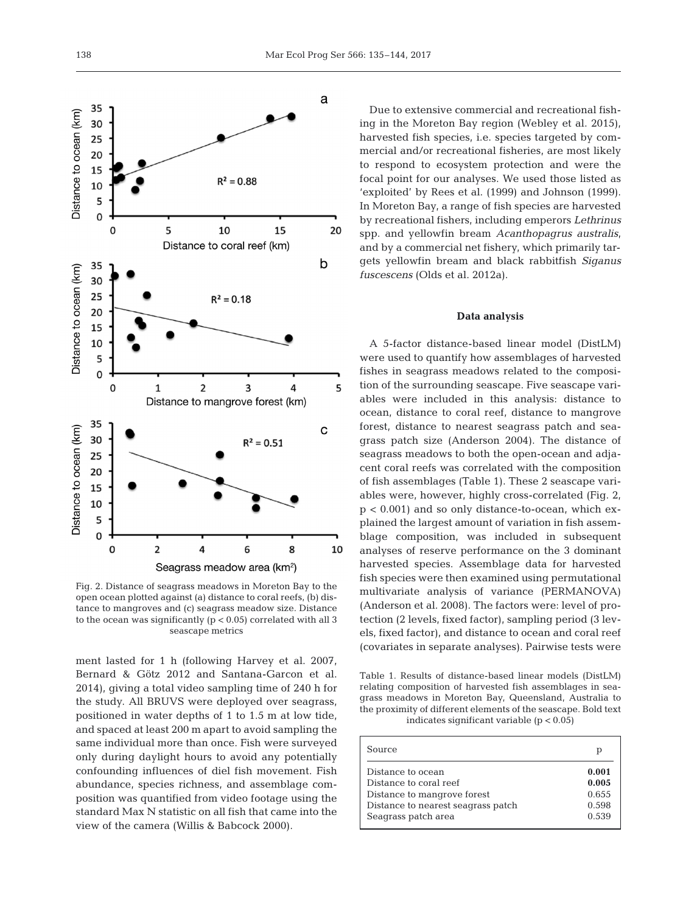

Fig. 2. Distance of seagrass meadows in Moreton Bay to the open ocean plotted against (a) distance to coral reefs, (b) distance to mangroves and (c) seagrass meadow size. Distance to the ocean was significantly  $(p < 0.05)$  correlated with all 3 seascape metrics

ment lasted for 1 h (following Harvey et al. 2007, Bernard & Götz 2012 and Santana-Garcon et al. 2014), giving a total video sampling time of 240 h for the study. All BRUVS were deployed over seagrass, positioned in water depths of 1 to 1.5 m at low tide, and spaced at least 200 m apart to avoid sampling the same individual more than once. Fish were surveyed only during daylight hours to avoid any potentially confounding influences of diel fish movement. Fish abundance, species richness, and assemblage composition was quantified from video footage using the standard Max N statistic on all fish that came into the view of the camera (Willis & Babcock 2000).

Due to extensive commercial and recreational fishing in the Moreton Bay region (Webley et al. 2015), harvested fish species, i.e. species targeted by commercial and/or recreational fisheries, are most likely to respond to ecosystem protection and were the focal point for our analyses. We used those listed as 'exploited' by Rees et al. (1999) and Johnson (1999). In Moreton Bay, a range of fish species are harvested by recreational fishers, including emperors *Lethrinus* spp. and yellowfin bream *Acanthopagrus australis*, and by a commercial net fishery, which primarily targets yellowfin bream and black rabbitfish *Siganus fuscescens* (Olds et al. 2012a).

#### **Data analysis**

A 5-factor distance-based linear model (DistLM) were used to quantify how assemblages of harvested fishes in seagrass meadows related to the composition of the surrounding seascape. Five seascape variables were included in this analysis: distance to ocean, distance to coral reef, distance to mangrove forest, distance to nearest seagrass patch and seagrass patch size (Anderson 2004). The distance of seagrass meadows to both the open-ocean and adjacent coral reefs was correlated with the composition of fish assemblages (Table 1). These 2 seascape variables were, however, highly cross-correlated (Fig. 2,  $p < 0.001$ ) and so only distance-to-ocean, which explained the largest amount of variation in fish assemblage composition, was included in subsequent analyses of reserve performance on the 3 dominant harvested species. Assemblage data for harvested fish species were then examined using permutational multivariate analysis of variance (PERMANOVA) (Anderson et al. 2008). The factors were: level of protection (2 levels, fixed factor), sampling period (3 levels, fixed factor), and distance to ocean and coral reef (covariates in separate analyses). Pairwise tests were

Table 1. Results of distance-based linear models (DistLM) relating composition of harvested fish assemblages in seagrass meadows in Moreton Bay, Queensland, Australia to the proximity of different elements of the seascape. Bold text indicates significant variable  $(p < 0.05)$ 

| Source                             | р     |
|------------------------------------|-------|
| Distance to ocean                  | 0.001 |
| Distance to coral reef             | 0.005 |
| Distance to mangrove forest        | 0.655 |
| Distance to nearest seagrass patch | 0.598 |
| Seagrass patch area                | 0.539 |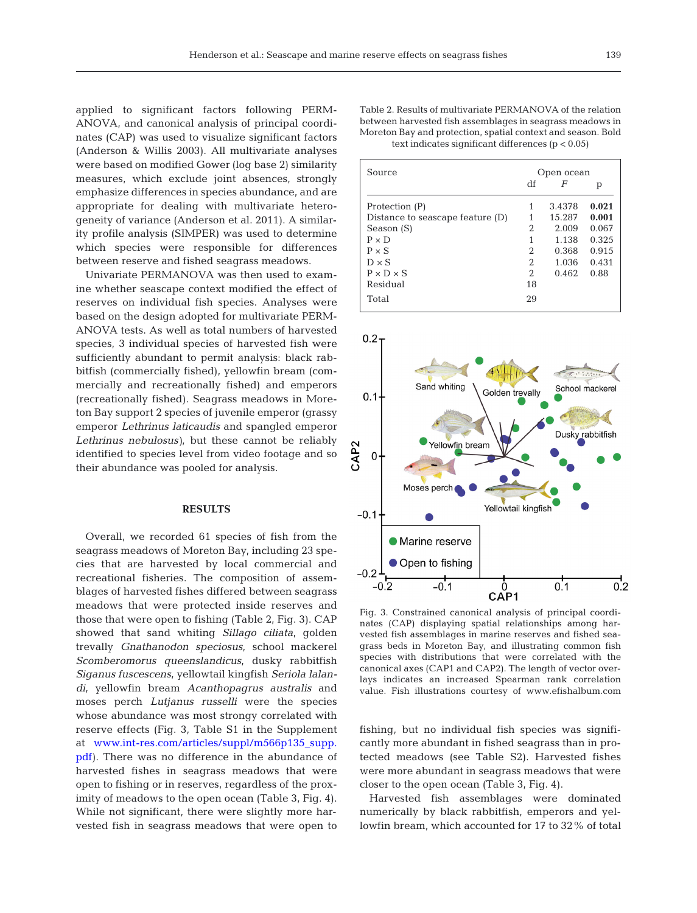applied to significant factors following PERM-ANOVA, and canonical analysis of principal coordinates (CAP) was used to visualize significant factors (Anderson & Willis 2003). All multivariate analyses were based on modified Gower (log base 2) similarity measures, which exclude joint absences, strongly emphasize differences in species abundance, and are appropriate for dealing with multivariate heterogeneity of variance (Anderson et al. 2011). A similarity profile analysis (SIMPER) was used to determine which species were responsible for differences between reserve and fished seagrass meadows.

Univariate PERMANOVA was then used to examine whether seascape context modified the effect of reserves on individual fish species. Analyses were based on the design adopted for multivariate PERM-ANOVA tests. As well as total numbers of harvested species, 3 individual species of harvested fish were sufficiently abundant to permit analysis: black rabbitfish (commercially fished), yellowfin bream (commercially and recreationally fished) and emperors (recreationally fished). Seagrass meadows in Moreton Bay support 2 species of juvenile emperor (grassy emperor *Lethrinus laticaudis* and spangled emperor *Lethrinus nebulosus)*, but these cannot be reliably identified to species level from video footage and so their abundance was pooled for analysis.

## **RESULTS**

Overall, we recorded 61 species of fish from the seagrass meadows of Moreton Bay, including 23 species that are harvested by local commercial and recreational fisheries. The composition of assemblages of harvested fishes differed between seagrass meadows that were protected inside reserves and those that were open to fishing (Table 2, Fig. 3). CAP showed that sand whiting *Sillago ciliata*, golden trevally *Gnathanodon speciosus*, school mackerel *Scomberomorus queenslandicus*, dusky rabbitfish *Siganus fusce scens*, yellowtail kingfish *Seriola lalan di*, yellowfin bream *Acanthopagrus australis* and moses perch *Lutjanus russelli* were the species whose abundance was most strongy correlated with reserve effects (Fig. 3, Table S1 in the Supplement at www.int-res.com/articles/suppl/m566p135\_supp. [pdf\)](http://www.int-res.com/articles/suppl/m566p135_supp.pdf). There was no difference in the abundance of harvested fishes in seagrass meadows that were open to fishing or in reserves, regardless of the proximity of meadows to the open ocean (Table 3, Fig. 4). While not significant, there were slightly more harvested fish in seagrass meadows that were open to

| Table 2. Results of multivariate PERMANOVA of the relation   |
|--------------------------------------------------------------|
| between harvested fish assemblages in seagrass meadows in    |
| Moreton Bay and protection, spatial context and season. Bold |
| text indicates significant differences $(p < 0.05)$          |

| Source                           | Open ocean     |        |       |  |
|----------------------------------|----------------|--------|-------|--|
|                                  | df             | F      | р     |  |
| Protection (P)                   | 1              | 3.4378 | 0.021 |  |
| Distance to seascape feature (D) |                | 15.287 | 0.001 |  |
| Season (S)                       | 2              | 2.009  | 0.067 |  |
| $P \times D$                     | 1              | 1.138  | 0.325 |  |
| $P \times S$                     | 2              | 0.368  | 0.915 |  |
| $D \times S$                     | $\mathfrak{D}$ | 1.036  | 0.431 |  |
| $P \times D \times S$            | $\mathfrak{D}$ | 0.462  | 0.88  |  |
| Residual                         | 18             |        |       |  |
| Total                            | 29             |        |       |  |



Fig. 3. Constrained canonical analysis of principal coordinates (CAP) displaying spatial relationships among harvested fish assemblages in marine reserves and fished seagrass beds in Moreton Bay, and illustrating common fish species with distributions that were correlated with the canonical axes (CAP1 and CAP2). The length of vector overlays indicates an increased Spearman rank correlation value. Fish illustrations courtesy of www.efishalbum.com

fishing, but no individual fish species was significantly more abundant in fished seagrass than in protected meadows (see Table S2). Harvested fishes were more abundant in seagrass meadows that were closer to the open ocean (Table 3, Fig. 4).

Harvested fish assemblages were dominated numerically by black rabbitfish, emperors and yellowfin bream, which accounted for 17 to 32% of total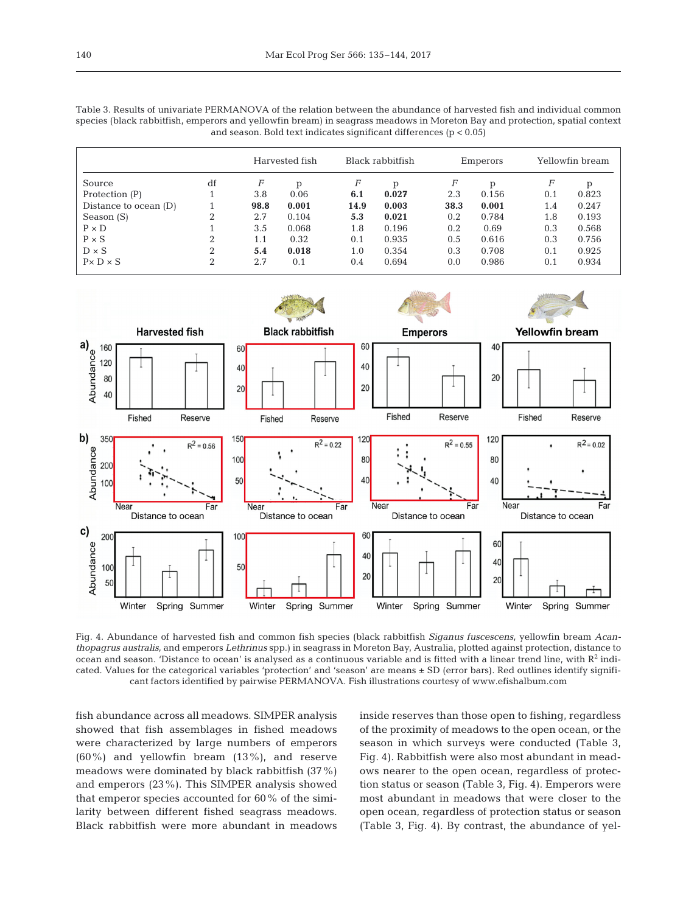| Table 3. Results of univariate PERMANOVA of the relation between the abundance of harvested fish and individual common      |
|-----------------------------------------------------------------------------------------------------------------------------|
| species (black rabbitfish, emperors and yellowfin bream) in seagrass meadows in Moreton Bay and protection, spatial context |
| and season. Bold text indicates significant differences $(p < 0.05)$                                                        |

|                       |          | Harvested fish |       | Black rabbitfish |       | Emperors |       |     | Yellowfin bream |  |
|-----------------------|----------|----------------|-------|------------------|-------|----------|-------|-----|-----------------|--|
| Source                | df       | F              | p     | F                | p     | F        | D     | F   | p               |  |
| Protection (P)        |          | 3.8            | 0.06  | 6.1              | 0.027 | 2.3      | 0.156 | 0.1 | 0.823           |  |
| Distance to ocean (D) |          | 98.8           | 0.001 | 14.9             | 0.003 | 38.3     | 0.001 | 1.4 | 0.247           |  |
| Season (S)            | $\Omega$ | 2.7            | 0.104 | 5.3              | 0.021 | 0.2      | 0.784 | 1.8 | 0.193           |  |
| $P \times D$          |          | 3.5            | 0.068 | 1.8              | 0.196 | 0.2      | 0.69  | 0.3 | 0.568           |  |
| $P \times S$          | ∩        | 1.1            | 0.32  | 0.1              | 0.935 | 0.5      | 0.616 | 0.3 | 0.756           |  |
| $D \times S$          | ∩        | 5.4            | 0.018 | 1.0              | 0.354 | 0.3      | 0.708 | 0.1 | 0.925           |  |
| $P \times D \times S$ | 2        | 2.7            | 0.1   | 0.4              | 0.694 | 0.0      | 0.986 | 0.1 | 0.934           |  |



Fig. 4. Abundance of harvested fish and common fish species (black rabbitfish *Siganus fuscescens*, yellowfin bream *Acanthopagrus australis*, and emperors *Lethrinus* spp.) in seagrass in Moreton Bay, Australia, plotted against protection, distance to ocean and season. 'Distance to ocean' is analysed as a continuous variable and is fitted with a linear trend line, with  $R^2$  indicated. Values for the categorical variables 'protection' and 'season' are means ± SD (error bars). Red outlines identify significant factors identified by pairwise PERMANOVA. Fish illustrations courtesy of www.efishalbum.com

fish abundance across all meadows. SIMPER analysis showed that fish assemblages in fished meadows were characterized by large numbers of emperors (60%) and yellowfin bream (13%), and reserve meadows were dominated by black rabbitfish (37%) and emperors (23%). This SIMPER analysis showed that emperor species accounted for 60% of the similarity between different fished seagrass meadows. Black rabbitfish were more abundant in meadows inside reserves than those open to fishing, regardless of the proximity of meadows to the open ocean, or the season in which surveys were conducted (Table 3, Fig. 4). Rabbitfish were also most abundant in meadows nearer to the open ocean, regardless of protection status or season (Table 3, Fig. 4). Emperors were most abundant in meadows that were closer to the open ocean, regardless of protection status or season (Table 3, Fig. 4). By contrast, the abundance of yel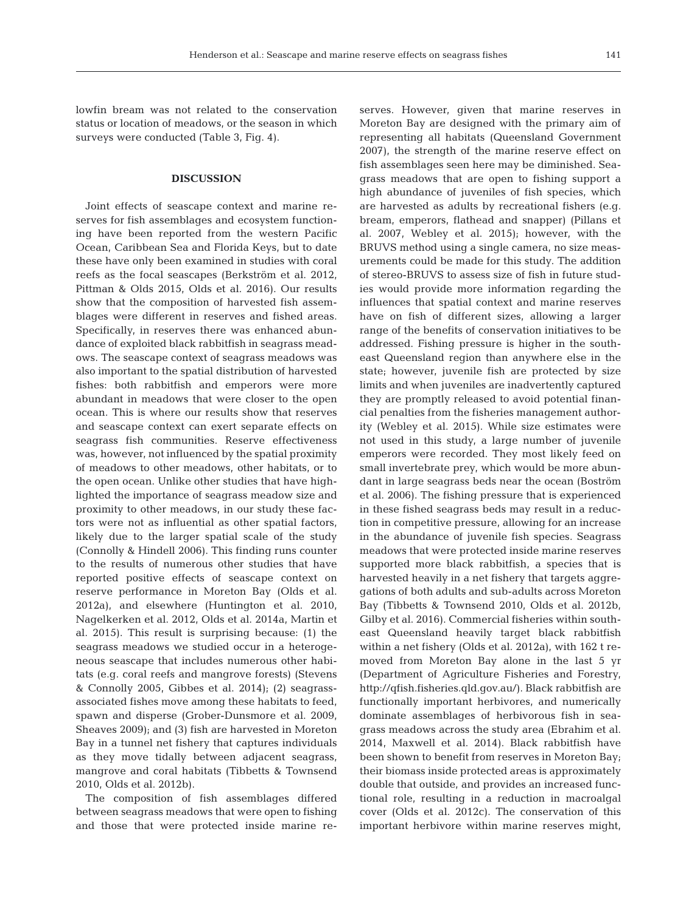lowfin bream was not related to the conservation status or location of meadows, or the season in which surveys were conducted (Table 3, Fig. 4).

## **DISCUSSION**

Joint effects of seascape context and marine re serves for fish assemblages and ecosystem functioning have been reported from the western Pacific Ocean, Caribbean Sea and Florida Keys, but to date these have only been examined in studies with coral reefs as the focal seascapes (Berkström et al. 2012, Pittman & Olds 2015, Olds et al. 2016). Our results show that the composition of harvested fish assemblages were different in reserves and fished areas. Specifically, in reserves there was enhanced abundance of exploited black rabbitfish in seagrass meadows. The seascape context of seagrass meadows was also important to the spatial distribution of harvested fishes: both rabbitfish and emperors were more abundant in meadows that were closer to the open ocean. This is where our results show that reserves and seascape context can exert separate effects on seagrass fish communities. Reserve effectiveness was, however, not influenced by the spatial proximity of meadows to other meadows, other habitats, or to the open ocean. Unlike other studies that have highlighted the importance of seagrass meadow size and proximity to other meadows, in our study these factors were not as influential as other spatial factors, likely due to the larger spatial scale of the study (Connolly & Hindell 2006). This finding runs counter to the results of numerous other studies that have reported positive effects of seascape context on reserve performance in Moreton Bay (Olds et al. 2012a), and elsewhere (Huntington et al. 2010, Nagel kerken et al. 2012, Olds et al. 2014a, Martin et al. 2015). This result is surprising because: (1) the seagrass meadows we studied occur in a heterogeneous seascape that includes numerous other habitats (e.g. coral reefs and mangrove forests) (Stevens & Connolly 2005, Gibbes et al. 2014); (2) seagrassassociated fishes move among these habitats to feed, spawn and disperse (Grober-Dunsmore et al. 2009, Sheaves 2009); and (3) fish are harvested in Moreton Bay in a tunnel net fishery that captures individuals as they move tidally between adjacent seagrass, mangrove and coral habitats (Tibbetts & Townsend 2010, Olds et al. 2012b).

The composition of fish assemblages differed between seagrass meadows that were open to fishing and those that were protected inside marine reserves. However, given that marine reserves in Moreton Bay are designed with the primary aim of representing all habitats (Queensland Government 2007), the strength of the marine reserve effect on fish assemblages seen here may be diminished. Seagrass meadows that are open to fishing support a high abundance of juveniles of fish species, which are harvested as adults by recreational fishers (e.g. bream, emperors, flathead and snapper) (Pillans et al. 2007, Webley et al. 2015); however, with the BRUVS method using a single camera, no size measurements could be made for this study. The addition of stereo-BRUVS to assess size of fish in future studies would provide more information regarding the influences that spatial context and marine reserves have on fish of different sizes, allowing a larger range of the benefits of conservation initiatives to be addressed. Fishing pressure is higher in the southeast Queensland region than anywhere else in the state; however, juvenile fish are protected by size limits and when juveniles are inadvertently captured they are promptly released to avoid potential financial penalties from the fisheries management authority (Webley et al. 2015). While size estimates were not used in this study, a large number of juvenile emperors were recorded. They most likely feed on small invertebrate prey, which would be more abundant in large seagrass beds near the ocean (Boström et al. 2006). The fishing pressure that is experienced in these fished seagrass beds may result in a reduction in competitive pressure, allowing for an increase in the abundance of juvenile fish species. Seagrass meadows that were protected inside marine reserves supported more black rabbitfish, a species that is harvested heavily in a net fishery that targets aggregations of both adults and sub-adults across Moreton Bay (Tibbetts & Townsend 2010, Olds et al. 2012b, Gilby et al. 2016). Commercial fisheries within southeast Queensland heavily target black rabbitfish within a net fishery (Olds et al. 2012a), with 162 t removed from Moreton Bay alone in the last 5 yr (Department of Agriculture Fisheries and Forestry, http://qfish. fisheries.qld.gov.au/). Black rabbitfish are functionally important herbivores, and numerically dominate assemblages of herbivorous fish in seagrass meadows across the study area (Ebrahim et al. 2014, Maxwell et al. 2014). Black rabbitfish have been shown to benefit from reserves in Moreton Bay; their biomass inside protected areas is approximately double that outside, and provides an increased functional role, resulting in a reduction in macroalgal cover (Olds et al. 2012c). The conservation of this important herbivore within marine reserves might,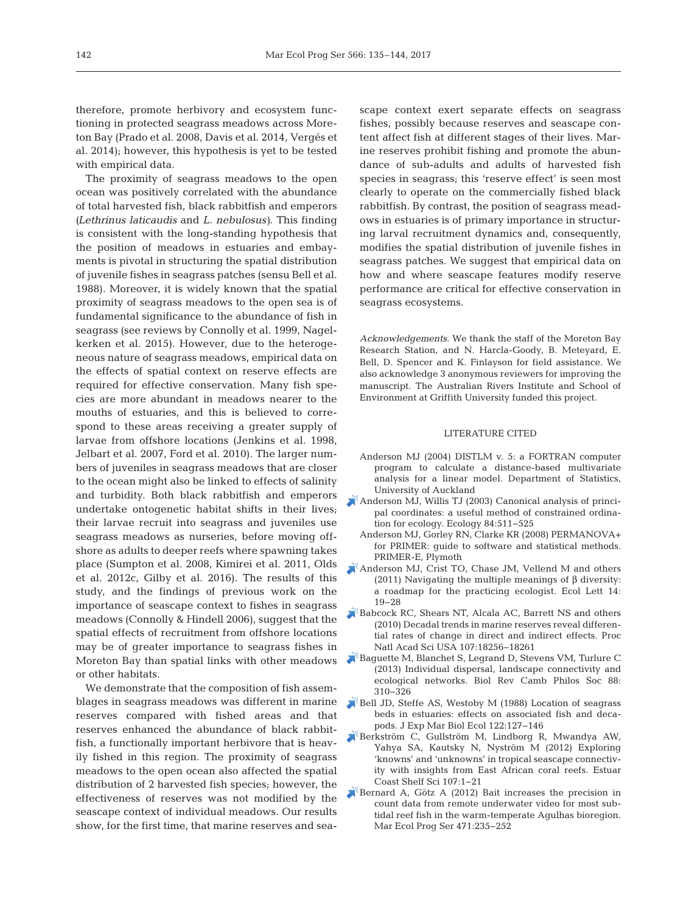therefore, promote herbivory and ecosystem functioning in protected seagrass meadows across Moreton Bay (Prado et al. 2008, Davis et al. 2014, Vergés et al. 2014); however, this hypothesis is yet to be tested with empirical data.

The proximity of seagrass meadows to the open ocean was positively correlated with the abundance of total harvested fish, black rabbitfish and emperors *(Lethrinus laticaudis* and *L. nebulosus)*. This finding is consistent with the long-standing hypothesis that the position of meadows in estuaries and embayments is pivotal in structuring the spatial distribution of juvenile fishes in seagrass patches (sensu Bell et al. 1988). Moreover, it is widely known that the spatial proximity of seagrass meadows to the open sea is of fundamental significance to the abundance of fish in seagrass (see reviews by Connolly et al. 1999, Nagelkerken et al. 2015). However, due to the heterogeneous nature of seagrass meadows, empirical data on the effects of spatial context on reserve effects are required for effective conservation. Many fish species are more abundant in meadows nearer to the mouths of estuaries, and this is believed to correspond to these areas receiving a greater supply of larvae from offshore locations (Jenkins et al. 1998, Jelbart et al. 2007, Ford et al. 2010). The larger numbers of juveniles in seagrass meadows that are closer to the ocean might also be linked to effects of salinity and turbidity. Both black rabbitfish and emperors undertake ontogenetic habitat shifts in their lives; their larvae recruit into seagrass and juveniles use seagrass meadows as nurseries, before moving offshore as adults to deeper reefs where spawning takes place (Sumpton et al. 2008, Kimirei et al. 2011, Olds et al. 2012c, Gilby et al. 2016). The results of this study, and the findings of previous work on the importance of seascape context to fishes in seagrass meadows (Connolly & Hindell 2006), suggest that the spatial effects of recruitment from offshore locations may be of greater importance to seagrass fishes in Moreton Bay than spatial links with other meadows or other habitats.

We demonstrate that the composition of fish assemblages in seagrass meadows was different in marine reserves compared with fished areas and that reserves enhanced the abundance of black rabbitfish, a functionally important herbivore that is heavily fished in this region. The proximity of seagrass meadows to the open ocean also affected the spatial distribution of 2 harvested fish species; however, the effectiveness of reserves was not modified by the seascape context of individual meadows. Our results show, for the first time, that marine reserves and seascape context exert separate effects on seagrass fishes, possibly because reserves and seascape content affect fish at different stages of their lives. Marine reserves prohibit fishing and promote the abundance of sub-adults and adults of harvested fish species in seagrass; this 'reserve effect' is seen most clearly to operate on the commercially fished black rabbitfish. By contrast, the position of seagrass meadows in estuaries is of primary importance in structuring larval recruitment dynamics and, consequently, modifies the spatial distribution of juvenile fishes in seagrass patches. We suggest that empirical data on how and where seascape features modify reserve performance are critical for effective conservation in seagrass ecosystems.

*Acknowledgements*. We thank the staff of the Moreton Bay Research Station, and N. Harcla-Goody, B. Meteyard, E. Bell, D. Spencer and K. Finlayson for field assistance. We also acknowledge 3 anonymous reviewers for improving the manuscript. The Australian Rivers Institute and School of Environment at Griffith University funded this project.

## LITERATURE CITED

- Anderson MJ (2004) DISTLM v. 5: a FORTRAN computer program to calculate a distance-based multivariate analysis for a linear model. Department of Statistics, University of Auckland
- [Anderson MJ, Willis TJ \(2003\) Canonical analysis of princi](https://doi.org/10.1890/0012-9658(2003)084%5b0511%3ACAOPCA%5d2.0.CO%3B2)pal coordinates: a useful method of constrained ordination for ecology. Ecology 84:511-525
	- Anderson MJ, Gorley RN, Clarke KR (2008) PERMANOVA+ for PRIMER: quide to software and statistical methods. PRIMER-E, Plymoth
- [Anderson MJ, Crist TO, Chase JM, Vellend M and others](https://doi.org/10.1111/j.1461-0248.2010.01552.x) (2011) Navigating the multiple meanings of β diversity: a roadmap for the practicing ecologist. Ecol Lett 14: 19−28
- [Babcock RC, Shears NT, Alcala AC, Barrett NS and others](https://doi.org/10.1073/pnas.0908012107) (2010) Decadal trends in marine reserves reveal differential rates of change in direct and indirect effects. Proc Natl Acad Sci USA 107: 18256−18261
- [Baguette M, Blanchet S, Legrand D, Stevens VM, Turlure C](https://doi.org/10.1111/brv.12000) (2013) Individual dispersal, landscape connectivity and ecological networks. Biol Rev Camb Philos Soc 88: 310−326
- [Bell JD, Steffe AS, Westoby M \(1988\) Location of seagrass](https://doi.org/10.1016/0022-0981(88)90180-3) beds in estuaries: effects on associated fish and decapods. J Exp Mar Biol Ecol 122: 127−146
- [Berkström C, Gullström M, Lindborg R, Mwandya AW,](https://doi.org/10.1016/j.ecss.2012.03.020) Yahya SA, Kautsky N, Nyström M (2012) Exploring 'knowns' and 'unknowns' in tropical seascape connectivity with insights from East African coral reefs. Estuar Coast Shelf Sci 107: 1−21
- [Bernard A, Götz A \(2012\) Bait increases the precision in](https://doi.org/10.3354/meps10039) count data from remote underwater video for most subtidal reef fish in the warm-temperate Agulhas bioregion. Mar Ecol Prog Ser 471:235-252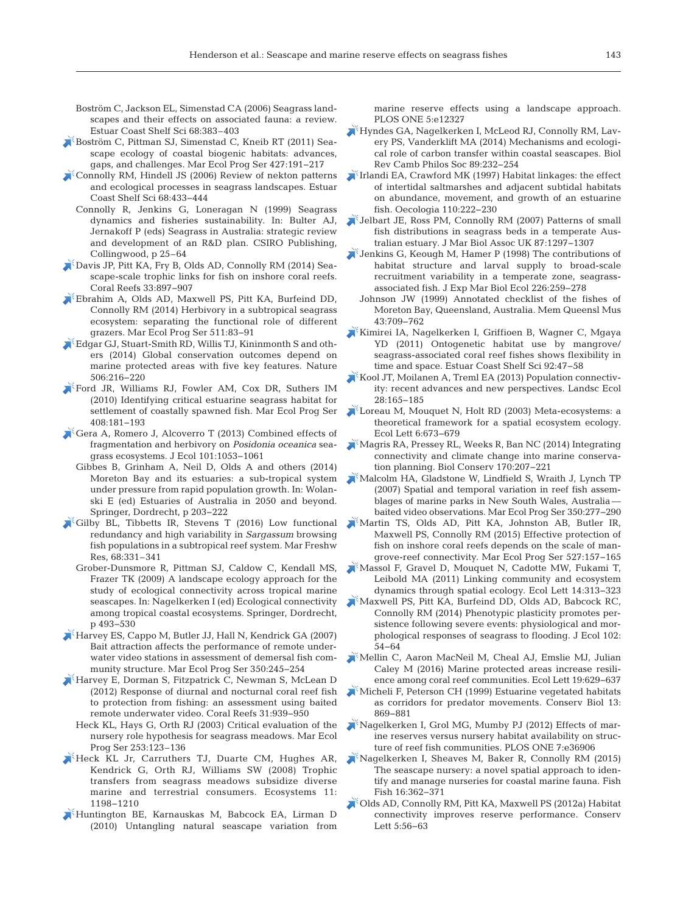- Boström C, Jackson EL, Simenstad CA (2006) Seagrass landscapes and their effects on associated fauna: a review. Estuar Coast Shelf Sci 68:383–403
- [Boström C, Pittman SJ, Simenstad C, Kneib RT \(2011\) Sea](https://doi.org/10.3354/meps09051)scape ecology of coastal biogenic habitats: advances, gaps, and challenges. Mar Ecol Prog Ser 427: 191−217
- [Connolly RM, Hindell JS \(2006\) Review of nekton patterns](https://doi.org/10.1016/j.ecss.2006.01.023) and ecological processes in seagrass landscapes. Estuar Coast Shelf Sci 68: 433−444
	- Connolly R, Jenkins G, Loneragan N (1999) Seagrass dynamics and fisheries sustainability. In: Bulter AJ, Jernakoff P (eds) Seagrass in Australia: strategic review and development of an R&D plan. CSIRO Publishing, Collingwood, p 25–64
- [Davis JP, Pitt KA, Fry B, Olds AD, Connolly RM \(2014\) Sea](https://doi.org/10.1007/s00338-014-1196-4)scape-scale trophic links for fish on inshore coral reefs. Coral Reefs 33: 897−907
- [Ebrahim A, Olds AD, Maxwell PS, Pitt KA, Burfeind DD,](https://doi.org/10.3354/meps10901) Connolly RM (2014) Herbivory in a subtropical seagrass ecosystem: separating the functional role of different grazers. Mar Ecol Prog Ser 511:83-91
- [Edgar GJ, Stuart-Smith RD, Willis TJ, Kininmonth S and oth](https://doi.org/10.1038/nature13022)ers (2014) Global conservation outcomes depend on marine protected areas with five key features. Nature 506: 216−220
- [Ford JR, Williams RJ, Fowler AM, Cox DR, Suthers IM](https://doi.org/10.3354/meps08582) (2010) Identifying critical estuarine seagrass habitat for settlement of coastally spawned fish. Mar Ecol Prog Ser 408: 181−193
- [Gera A, Romero J, Alcoverro T \(2013\) Combined effects of](https://doi.org/10.1111/1365-2745.12109) fragmentation and herbivory on *Posidonia oceanica* seagrass ecosystems. J Ecol 101: 1053−1061
	- Gibbes B, Grinham A, Neil D, Olds A and others (2014) Moreton Bay and its estuaries: a sub-tropical system under pressure from rapid population growth. In: Wolanski E (ed) Estuaries of Australia in 2050 and beyond. Springer, Dordrecht, p 203−222
- $\triangle$  [Gilby BL, Tibbetts IR, Stevens T \(2016\) Low functional](https://doi.org/https://doi.org/10.1071/MF15386) redundancy and high variability in *Sargassum* browsing fish populations in a subtropical reef system. Mar Freshw Res, 68:331–341
	- Grober-Dunsmore R, Pittman SJ, Caldow C, Kendall MS, Frazer TK (2009) A landscape ecology approach for the study of ecological connectivity across tropical marine seascapes. In: Nagelkerken I (ed) Ecological connectivity among tropical coastal ecosystems. Springer, Dordrecht, p 493−530
- [Harvey ES, Cappo M, Butler JJ, Hall N, Kendrick GA \(2007\)](https://doi.org/10.3354/meps07192) Bait attraction affects the performance of remote underwater video stations in assessment of demersal fish community structure. Mar Ecol Prog Ser 350:245-254
- [Harvey E, Dorman S, Fitzpatrick C, Newman S, McLean D](https://doi.org/10.1007/s00338-012-0955-3) (2012) Response of diurnal and nocturnal coral reef fish to protection from fishing: an assessment using baited remote underwater video. Coral Reefs 31: 939−950
	- Heck KL, Hays G, Orth RJ (2003) Critical evaluation of the nursery role hypothesis for seagrass meadows. Mar Ecol Prog Ser 253:123–136
- [Heck KL Jr, Carruthers TJ, Duarte CM, Hughes AR,](https://doi.org/10.1007/s10021-008-9155-y) Kendrick G, Orth RJ, Williams SW (2008) Trophic transfers from seagrass meadows subsidize diverse marine and terrestrial consumers. Ecosystems 11: 1198−1210
- [Huntington BE, Karnauskas M, Babcock EA, Lirman D](https://doi.org/10.1371/journal.pone.0012327) (2010) Untangling natural seascape variation from

marine reserve effects using a landscape approach. PLOS ONE 5:e12327

- [Hyndes GA, Nagelkerken I, McLeod RJ, Connolly RM, Lav](https://doi.org/10.1111/brv.12055)ery PS, Vanderklift MA (2014) Mechanisms and ecological role of carbon transfer within coastal seascapes. Biol Rev Camb Philos Soc 89:232-254
- Irlandi EA, Crawford MK (1997) Habitat linkages: the effect of intertidal saltmarshes and adjacent subtidal habitats on abundance, movement, and growth of an estuarine fish. Oecologia 110: 222−230
- [Jelbart JE, Ross PM, Connolly RM \(2007\) Patterns of small](https://doi.org/10.1017/S0025315407053283) fish distributions in seagrass beds in a temperate Australian estuary. J Mar Biol Assoc UK 87: 1297−1307
- [Jenkins G, Keough M, Hamer P \(1998\) The contributions of](https://doi.org/10.1016/S0022-0981(97)00255-4) habitat structure and larval supply to broad-scale recruitment variability in a temperate zone, seagrassassociated fish. J Exp Mar Biol Ecol 226: 259−278
- Johnson JW (1999) Annotated checklist of the fishes of Moreton Bay, Queensland, Australia. Mem Queensl Mus 43: 709−762
- [Kimirei IA, Nagelkerken I, Griffioen B, Wagner C, Mgaya](https://doi.org/10.1016/j.ecss.2010.12.016) YD (2011) Ontogenetic habitat use by mangrove/ seagrass-associated coral reef fishes shows flexibility in time and space. Estuar Coast Shelf Sci 92: 47−58
- [Kool JT, Moilanen A, Treml EA \(2013\) Population connectiv](https://doi.org/10.1007/s10980-012-9819-z)ity: recent advances and new perspectives. Landsc Ecol 28: 165−185
- [Loreau M, Mouquet N, Holt RD \(2003\) Meta-ecosystems:a](https://doi.org/10.1046/j.1461-0248.2003.00483.x) theoretical framework for a spatial ecosystem ecology. Ecol Lett 6: 673−679
- [Magris RA, Pressey RL, Weeks R, Ban NC \(2014\) Integrating](https://doi.org/10.1016/j.biocon.2013.12.032) connectivity and climate change into marine conservation planning. Biol Conserv 170:207–221
- [Malcolm HA, Gladstone W, Lindfield S, Wraith J, Lynch TP](https://doi.org/10.3354/meps07195) (2007) Spatial and temporal variation in reef fish assemblages of marine parks in New South Wales, Australia baited video observations. Mar Ecol Prog Ser 350:277-290
- [Martin TS, Olds AD, Pitt KA, Johnston AB, Butler IR,](https://doi.org/10.3354/meps11295) Maxwell PS, Connolly RM (2015) Effective protection of fish on inshore coral reefs depends on the scale of mangrove-reef connectivity. Mar Ecol Prog Ser 527: 157−165
- [Massol F, Gravel D, Mouquet N, Cadotte MW, Fukami T,](https://doi.org/10.1111/j.1461-0248.2011.01588.x) Leibold MA (2011) Linking community and ecosystem dynamics through spatial ecology. Ecol Lett 14:313–323
- [Maxwell PS, Pitt KA, Burfeind DD, Olds AD, Babcock RC,](https://doi.org/10.1111/1365-2745.12167) Connolly RM (2014) Phenotypic plasticity promotes persistence following severe events: physiological and morphological responses of seagrass to flooding. J Ecol 102: 54−64
- [Mellin C, Aaron MacNeil M, Cheal AJ, Emslie MJ, Julian](https://doi.org/10.1111/ele.12598) Caley M (2016) Marine protected areas increase resilience among coral reef communities. Ecol Lett 19:629-637
- [Micheli F, Peterson CH \(1999\) Estuarine vegetated habitats](https://doi.org/10.1046/j.1523-1739.1999.98233.x) as corridors for predator movements. Conserv Biol 13: 869−881
- [Nagelkerken I, Grol MG, Mumby PJ \(2012\) Effects of mar](https://doi.org/10.1371/journal.pone.0036906)ine reserves versus nursery habitat availability on structure of reef fish communities. PLOS ONE 7: e36906
- [Nagelkerken I, Sheaves M, Baker R, Connolly RM \(2015\)](https://doi.org/10.1111/faf.12057) The seascape nursery: a novel spatial approach to identify and manage nurseries for coastal marine fauna. Fish Fish 16: 362−371
- [Olds AD, Connolly RM, Pitt KA, Maxwell PS \(2012a\) Habitat](https://doi.org/10.1111/j.1755-263X.2011.00204.x) connectivity improves reserve performance. Conserv Lett 5:56-63